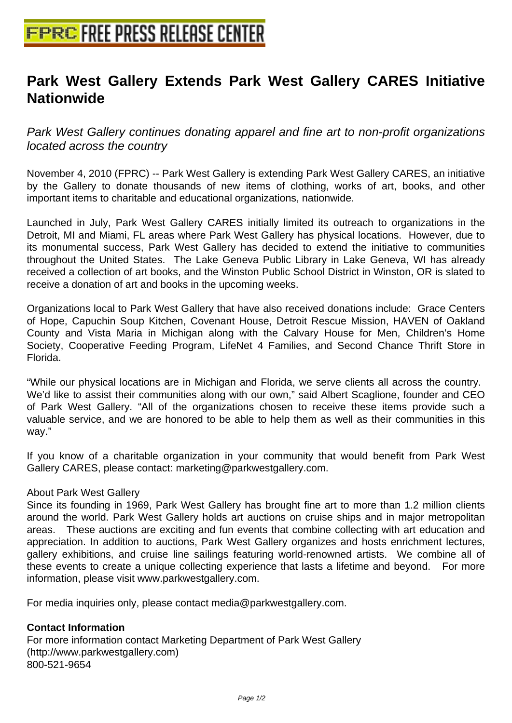## **[Park West Gallery Extends Park](http://www.free-press-release-center.info) West Gallery CARES Initiative Nationwide**

Park West Gallery continues donating apparel and fine art to non-profit organizations located across the country

November 4, 2010 (FPRC) -- Park West Gallery is extending Park West Gallery CARES, an initiative by the Gallery to donate thousands of new items of clothing, works of art, books, and other important items to charitable and educational organizations, nationwide.

Launched in July, Park West Gallery CARES initially limited its outreach to organizations in the Detroit, MI and Miami, FL areas where Park West Gallery has physical locations. However, due to its monumental success, Park West Gallery has decided to extend the initiative to communities throughout the United States. The Lake Geneva Public Library in Lake Geneva, WI has already received a collection of art books, and the Winston Public School District in Winston, OR is slated to receive a donation of art and books in the upcoming weeks.

Organizations local to Park West Gallery that have also received donations include: Grace Centers of Hope, Capuchin Soup Kitchen, Covenant House, Detroit Rescue Mission, HAVEN of Oakland County and Vista Maria in Michigan along with the Calvary House for Men, Children's Home Society, Cooperative Feeding Program, LifeNet 4 Families, and Second Chance Thrift Store in Florida.

"While our physical locations are in Michigan and Florida, we serve clients all across the country. We'd like to assist their communities along with our own," said Albert Scaglione, founder and CEO of Park West Gallery. "All of the organizations chosen to receive these items provide such a valuable service, and we are honored to be able to help them as well as their communities in this way."

If you know of a charitable organization in your community that would benefit from Park West Gallery CARES, please contact: marketing@parkwestgallery.com.

## About Park West Gallery

Since its founding in 1969, Park West Gallery has brought fine art to more than 1.2 million clients around the world. Park West Gallery holds art auctions on cruise ships and in major metropolitan areas. These auctions are exciting and fun events that combine collecting with art education and appreciation. In addition to auctions, Park West Gallery organizes and hosts enrichment lectures, gallery exhibitions, and cruise line sailings featuring world-renowned artists. We combine all of these events to create a unique collecting experience that lasts a lifetime and beyond. For more information, please visit www.parkwestgallery.com.

For media inquiries only, please contact media@parkwestgallery.com.

## **Contact Information**

For more information contact Marketing Department of Park West Gallery (http://www.parkwestgallery.com) 800-521-9654